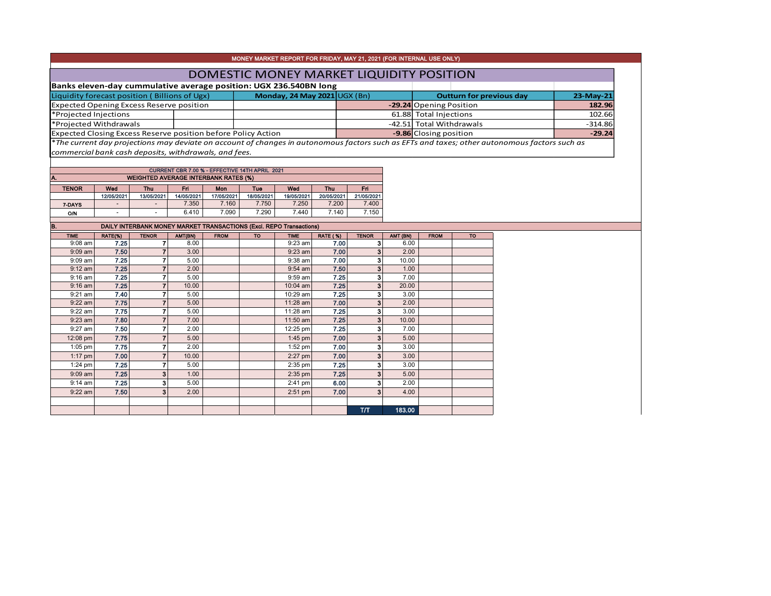|                                                                   |                          |                                                                     |              |                                                |                                                               | MONEY MARKET REPORT FOR FRIDAY, MAY 21, 2021 (FOR INTERNAL USE ONLY) |                 |                                  |                        |                          |                                 |                                                                                                                                               |          |  |  |  |
|-------------------------------------------------------------------|--------------------------|---------------------------------------------------------------------|--------------|------------------------------------------------|---------------------------------------------------------------|----------------------------------------------------------------------|-----------------|----------------------------------|------------------------|--------------------------|---------------------------------|-----------------------------------------------------------------------------------------------------------------------------------------------|----------|--|--|--|
|                                                                   |                          |                                                                     |              |                                                |                                                               | DOMESTIC MONEY MARKET LIQUIDITY POSITION                             |                 |                                  |                        |                          |                                 |                                                                                                                                               |          |  |  |  |
| Banks eleven-day cummulative average position: UGX 236.540BN long |                          |                                                                     |              |                                                |                                                               |                                                                      |                 |                                  |                        |                          |                                 |                                                                                                                                               |          |  |  |  |
| Liquidity forecast position (Billions of Ugx)                     |                          |                                                                     |              |                                                | Monday, 24 May 2021 UGX (Bn)                                  |                                                                      |                 |                                  |                        |                          | <b>Outturn for previous day</b> | 23-May-21                                                                                                                                     |          |  |  |  |
| <b>Expected Opening Excess Reserve position</b>                   |                          |                                                                     |              |                                                |                                                               |                                                                      |                 |                                  |                        | -29.24 Opening Position  |                                 | 182.96                                                                                                                                        |          |  |  |  |
| *Projected Injections                                             |                          |                                                                     |              |                                                |                                                               |                                                                      |                 |                                  |                        | 61.88 Total Injections   | 102.66                          |                                                                                                                                               |          |  |  |  |
| *Projected Withdrawals                                            |                          |                                                                     |              |                                                |                                                               |                                                                      |                 |                                  |                        | -42.51 Total Withdrawals |                                 | $-314.86$                                                                                                                                     |          |  |  |  |
|                                                                   |                          |                                                                     |              |                                                | Expected Closing Excess Reserve position before Policy Action |                                                                      |                 |                                  | -9.86 Closing position |                          |                                 |                                                                                                                                               | $-29.24$ |  |  |  |
|                                                                   |                          |                                                                     |              |                                                |                                                               |                                                                      |                 |                                  |                        |                          |                                 | *The current day projections may deviate on account of changes in autonomous factors such as EFTs and taxes; other autonomous factors such as |          |  |  |  |
| commercial bank cash deposits, withdrawals, and fees.             |                          |                                                                     |              |                                                |                                                               |                                                                      |                 |                                  |                        |                          |                                 |                                                                                                                                               |          |  |  |  |
|                                                                   |                          |                                                                     |              |                                                |                                                               |                                                                      |                 |                                  |                        |                          |                                 |                                                                                                                                               |          |  |  |  |
|                                                                   |                          |                                                                     |              | CURRENT CBR 7.00 % - EFFECTIVE 14TH APRIL 2021 |                                                               |                                                                      |                 |                                  |                        |                          |                                 |                                                                                                                                               |          |  |  |  |
|                                                                   |                          | <b>WEIGHTED AVERAGE INTERBANK RATES (%)</b>                         |              |                                                |                                                               |                                                                      |                 |                                  |                        |                          |                                 |                                                                                                                                               |          |  |  |  |
| <b>TENOR</b>                                                      | Wed                      | <b>Thu</b>                                                          | Fri          | Mon                                            | <b>Tuo</b>                                                    | Wed                                                                  | <b>Thu</b>      | Fri.                             |                        |                          |                                 |                                                                                                                                               |          |  |  |  |
|                                                                   | 12/05/2021               | 13/05/2021                                                          | 14/05/2021   | 17/05/2021                                     | 18/05/2021                                                    | 19/05/2021                                                           | 20/05/2021      | 21/05/2021                       |                        |                          |                                 |                                                                                                                                               |          |  |  |  |
| 7-DAYS                                                            | $\overline{a}$           | $\sim$                                                              | 7.350        | 7.160                                          | 7.750                                                         | 7.250                                                                | 7.200           | 7.400                            |                        |                          |                                 |                                                                                                                                               |          |  |  |  |
| O/N                                                               | $\overline{\phantom{a}}$ | $\sim$                                                              | 6.410        | 7.090                                          | 7.290                                                         | 7.440                                                                | 7.140           | 7.150                            |                        |                          |                                 |                                                                                                                                               |          |  |  |  |
| B.                                                                |                          | DAILY INTERBANK MONEY MARKET TRANSACTIONS (Excl. REPO Transactions) |              |                                                |                                                               |                                                                      |                 |                                  |                        |                          |                                 |                                                                                                                                               |          |  |  |  |
| <b>TIME</b>                                                       | RATE(%)                  | <b>TENOR</b>                                                        | AMT(BN)      | <b>FROM</b>                                    | <b>TO</b>                                                     | <b>TIME</b>                                                          | <b>RATE (%)</b> | <b>TENOR</b>                     | AMT (BN)               | <b>FROM</b>              | <b>TO</b>                       |                                                                                                                                               |          |  |  |  |
| $9:08$ am                                                         | 7.25                     | $\overline{7}$                                                      | 8.00         |                                                |                                                               | $9:23$ am                                                            | 7.00            | 3 <sup>1</sup>                   | 6.00                   |                          |                                 |                                                                                                                                               |          |  |  |  |
| $9:09$ am                                                         | 7.50                     | $\overline{\mathbf{r}}$                                             | 3.00         |                                                |                                                               |                                                                      |                 |                                  |                        |                          |                                 |                                                                                                                                               |          |  |  |  |
| $9:09$ am                                                         | 7.25                     |                                                                     |              |                                                |                                                               | $9:23$ am                                                            | 7.00            | 3 <sup>1</sup>                   | 2.00                   |                          |                                 |                                                                                                                                               |          |  |  |  |
|                                                                   |                          | $\overline{7}$                                                      | 5.00         |                                                |                                                               | 9:38 am                                                              | 7.00            | 3 <sup>1</sup>                   | 10.00                  |                          |                                 |                                                                                                                                               |          |  |  |  |
| $9:12$ am                                                         | 7.25                     | $\overline{7}$                                                      | 2.00         |                                                |                                                               | $9:54$ am                                                            | 7.50            | 3 <sup>1</sup>                   | 1.00                   |                          |                                 |                                                                                                                                               |          |  |  |  |
| $9:16$ am                                                         | 7.25                     | $\overline{7}$                                                      | 5.00         |                                                |                                                               | 9:59 am                                                              | 7.25            | 3 <sup>1</sup>                   | 7.00                   |                          |                                 |                                                                                                                                               |          |  |  |  |
| $9:16$ am                                                         | 7.25                     | $\overline{7}$                                                      | 10.00        |                                                |                                                               | 10:04 am                                                             | 7.25            | $\overline{\mathbf{3}}$          | 20.00                  |                          |                                 |                                                                                                                                               |          |  |  |  |
| $9:21$ am                                                         | 7.40                     | $\overline{7}$                                                      | 5.00         |                                                |                                                               | 10:29 am                                                             | 7.25            | 3                                | 3.00                   |                          |                                 |                                                                                                                                               |          |  |  |  |
| $9:22$ am                                                         | 7.75                     | $\overline{7}$                                                      | 5.00         |                                                |                                                               | 11:28 am                                                             | 7.00            | 3 <sup>1</sup>                   | 2.00                   |                          |                                 |                                                                                                                                               |          |  |  |  |
| $9:22$ am                                                         | 7.75                     | $\overline{7}$                                                      | 5.00         |                                                |                                                               | 11:28 am                                                             | 7.25            | 3 <sup>1</sup>                   | 3.00                   |                          |                                 |                                                                                                                                               |          |  |  |  |
| $9:23$ am                                                         | 7.80                     | $\overline{7}$                                                      | 7.00         |                                                |                                                               | 11:50 am                                                             | 7.25            | 3 <sup>1</sup>                   | 10.00<br>7.00          |                          |                                 |                                                                                                                                               |          |  |  |  |
| 9:27 am                                                           | 7.50                     | $\overline{7}$                                                      | 2.00         |                                                |                                                               | 12:25 pm                                                             | 7.25            | $\mathbf{3}$                     |                        |                          |                                 |                                                                                                                                               |          |  |  |  |
| 12:08 pm                                                          | 7.75                     | $\overline{7}$                                                      | 5.00<br>2.00 |                                                |                                                               | 1:45 pm                                                              | 7.00            | 3 <sup>1</sup>                   | 5.00<br>3.00           |                          |                                 |                                                                                                                                               |          |  |  |  |
| $1:05$ pm                                                         | 7.75                     | $\overline{7}$                                                      |              |                                                |                                                               | 1:52 pm                                                              | 7.00            | 3 <sup>1</sup>                   |                        |                          |                                 |                                                                                                                                               |          |  |  |  |
| $1:17$ pm                                                         | 7.00                     | $\overline{7}$<br>$\overline{7}$                                    | 10.00        |                                                |                                                               | 2:27 pm                                                              | 7.00<br>7.25    | 3 <sup>1</sup><br>3 <sup>1</sup> | 3.00<br>3.00           |                          |                                 |                                                                                                                                               |          |  |  |  |
| $1:24$ pm<br>$9:09$ am                                            | 7.25<br>7.25             | 3                                                                   | 5.00<br>1.00 |                                                |                                                               | $2:35$ pm                                                            | 7.25            | $\mathbf{3}$                     | 5.00                   |                          |                                 |                                                                                                                                               |          |  |  |  |
|                                                                   | 7.25                     |                                                                     | 5.00         |                                                |                                                               | 2:35 pm                                                              | 6.00            | 3 <sup>1</sup>                   | 2.00                   |                          |                                 |                                                                                                                                               |          |  |  |  |
| $9:14$ am                                                         | 7.50                     | 3<br>$\overline{\mathbf{3}}$                                        |              |                                                |                                                               | $2:41$ pm                                                            | 7.00            | 3 <sup>1</sup>                   | 4.00                   |                          |                                 |                                                                                                                                               |          |  |  |  |
| 9:22 am                                                           |                          |                                                                     | 2.00         |                                                |                                                               | $2:51$ pm                                                            |                 |                                  |                        |                          |                                 |                                                                                                                                               |          |  |  |  |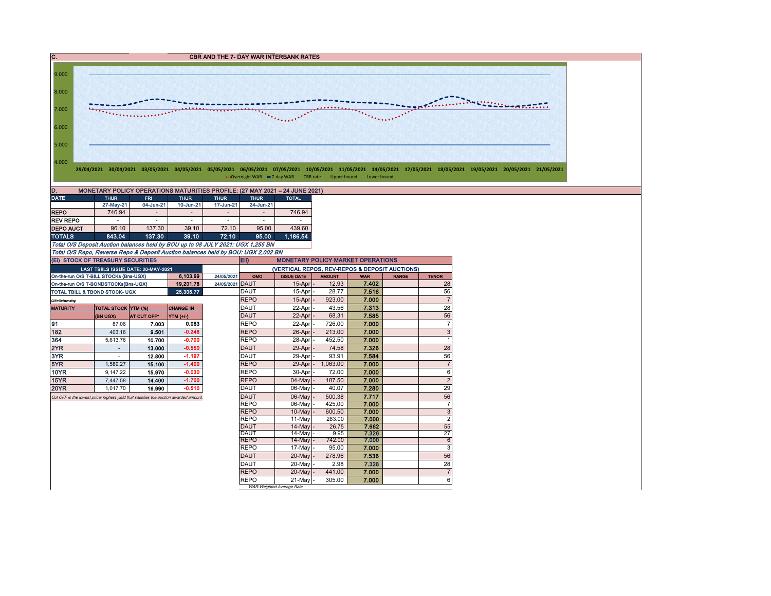